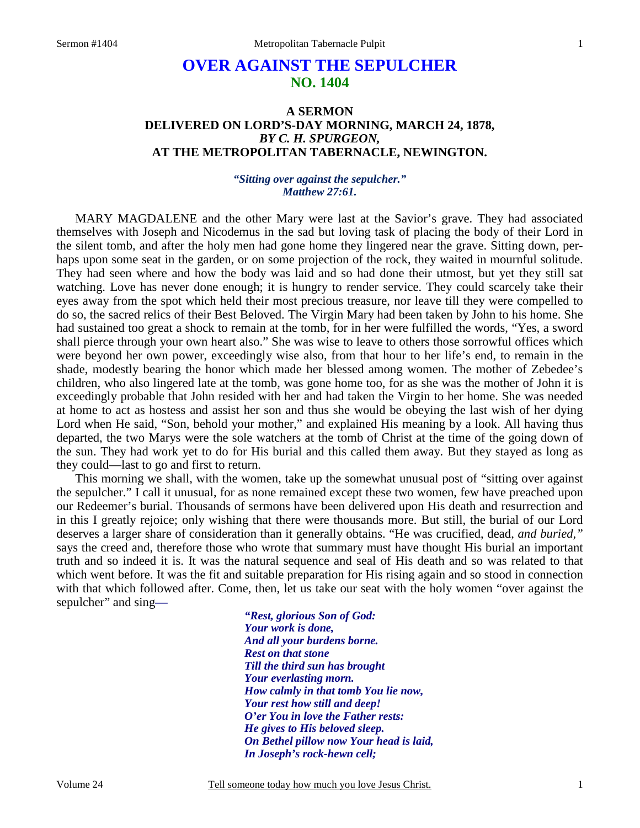# **OVER AGAINST THE SEPULCHER NO. 1404**

## **A SERMON DELIVERED ON LORD'S-DAY MORNING, MARCH 24, 1878,**  *BY C. H. SPURGEON,*  **AT THE METROPOLITAN TABERNACLE, NEWINGTON.**

*"Sitting over against the sepulcher." Matthew 27:61.* 

MARY MAGDALENE and the other Mary were last at the Savior's grave. They had associated themselves with Joseph and Nicodemus in the sad but loving task of placing the body of their Lord in the silent tomb, and after the holy men had gone home they lingered near the grave. Sitting down, perhaps upon some seat in the garden, or on some projection of the rock, they waited in mournful solitude. They had seen where and how the body was laid and so had done their utmost, but yet they still sat watching. Love has never done enough; it is hungry to render service. They could scarcely take their eyes away from the spot which held their most precious treasure, nor leave till they were compelled to do so, the sacred relics of their Best Beloved. The Virgin Mary had been taken by John to his home. She had sustained too great a shock to remain at the tomb, for in her were fulfilled the words, "Yes, a sword shall pierce through your own heart also." She was wise to leave to others those sorrowful offices which were beyond her own power, exceedingly wise also, from that hour to her life's end, to remain in the shade, modestly bearing the honor which made her blessed among women. The mother of Zebedee's children, who also lingered late at the tomb, was gone home too, for as she was the mother of John it is exceedingly probable that John resided with her and had taken the Virgin to her home. She was needed at home to act as hostess and assist her son and thus she would be obeying the last wish of her dying Lord when He said, "Son, behold your mother," and explained His meaning by a look. All having thus departed, the two Marys were the sole watchers at the tomb of Christ at the time of the going down of the sun. They had work yet to do for His burial and this called them away. But they stayed as long as they could—last to go and first to return.

This morning we shall, with the women, take up the somewhat unusual post of "sitting over against the sepulcher." I call it unusual, for as none remained except these two women, few have preached upon our Redeemer's burial. Thousands of sermons have been delivered upon His death and resurrection and in this I greatly rejoice; only wishing that there were thousands more. But still, the burial of our Lord deserves a larger share of consideration than it generally obtains. "He was crucified, dead, *and buried,"* says the creed and, therefore those who wrote that summary must have thought His burial an important truth and so indeed it is. It was the natural sequence and seal of His death and so was related to that which went before. It was the fit and suitable preparation for His rising again and so stood in connection with that which followed after. Come, then, let us take our seat with the holy women "over against the sepulcher" and sing*—*

> *"Rest, glorious Son of God: Your work is done, And all your burdens borne. Rest on that stone Till the third sun has brought Your everlasting morn. How calmly in that tomb You lie now, Your rest how still and deep! O'er You in love the Father rests: He gives to His beloved sleep. On Bethel pillow now Your head is laid, In Joseph's rock-hewn cell;*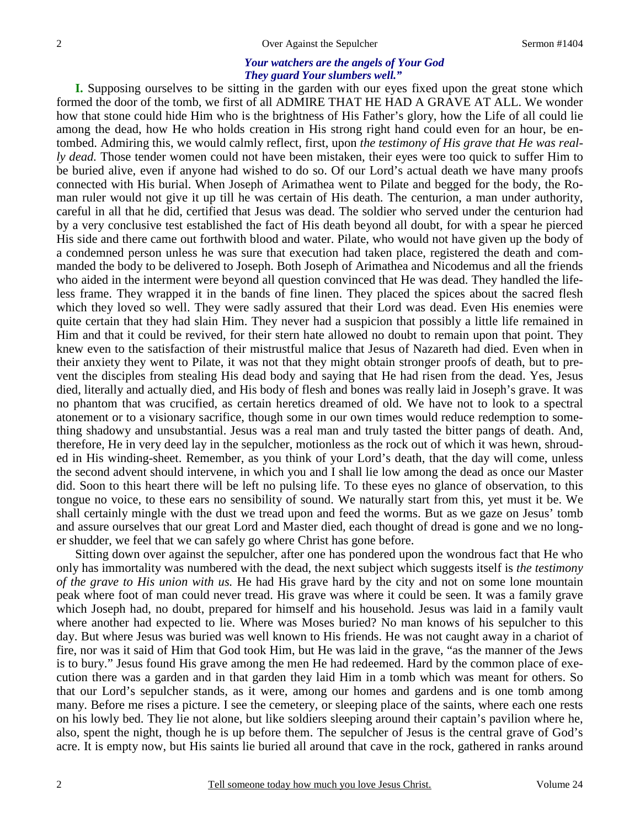#### *Your watchers are the angels of Your God They guard Your slumbers well."*

**I.** Supposing ourselves to be sitting in the garden with our eyes fixed upon the great stone which formed the door of the tomb, we first of all ADMIRE THAT HE HAD A GRAVE AT ALL. We wonder how that stone could hide Him who is the brightness of His Father's glory, how the Life of all could lie among the dead, how He who holds creation in His strong right hand could even for an hour, be entombed. Admiring this, we would calmly reflect, first, upon *the testimony of His grave that He was really dead.* Those tender women could not have been mistaken, their eyes were too quick to suffer Him to be buried alive, even if anyone had wished to do so. Of our Lord's actual death we have many proofs connected with His burial. When Joseph of Arimathea went to Pilate and begged for the body, the Roman ruler would not give it up till he was certain of His death. The centurion, a man under authority, careful in all that he did, certified that Jesus was dead. The soldier who served under the centurion had by a very conclusive test established the fact of His death beyond all doubt, for with a spear he pierced His side and there came out forthwith blood and water. Pilate, who would not have given up the body of a condemned person unless he was sure that execution had taken place, registered the death and commanded the body to be delivered to Joseph. Both Joseph of Arimathea and Nicodemus and all the friends who aided in the interment were beyond all question convinced that He was dead. They handled the lifeless frame. They wrapped it in the bands of fine linen. They placed the spices about the sacred flesh which they loved so well. They were sadly assured that their Lord was dead. Even His enemies were quite certain that they had slain Him. They never had a suspicion that possibly a little life remained in Him and that it could be revived, for their stern hate allowed no doubt to remain upon that point. They knew even to the satisfaction of their mistrustful malice that Jesus of Nazareth had died. Even when in their anxiety they went to Pilate, it was not that they might obtain stronger proofs of death, but to prevent the disciples from stealing His dead body and saying that He had risen from the dead. Yes, Jesus died, literally and actually died, and His body of flesh and bones was really laid in Joseph's grave. It was no phantom that was crucified, as certain heretics dreamed of old. We have not to look to a spectral atonement or to a visionary sacrifice, though some in our own times would reduce redemption to something shadowy and unsubstantial. Jesus was a real man and truly tasted the bitter pangs of death. And, therefore, He in very deed lay in the sepulcher, motionless as the rock out of which it was hewn, shrouded in His winding-sheet. Remember, as you think of your Lord's death, that the day will come, unless the second advent should intervene, in which you and I shall lie low among the dead as once our Master did. Soon to this heart there will be left no pulsing life. To these eyes no glance of observation, to this tongue no voice, to these ears no sensibility of sound. We naturally start from this, yet must it be. We shall certainly mingle with the dust we tread upon and feed the worms. But as we gaze on Jesus' tomb and assure ourselves that our great Lord and Master died, each thought of dread is gone and we no longer shudder, we feel that we can safely go where Christ has gone before.

Sitting down over against the sepulcher, after one has pondered upon the wondrous fact that He who only has immortality was numbered with the dead, the next subject which suggests itself is *the testimony of the grave to His union with us.* He had His grave hard by the city and not on some lone mountain peak where foot of man could never tread. His grave was where it could be seen. It was a family grave which Joseph had, no doubt, prepared for himself and his household. Jesus was laid in a family vault where another had expected to lie. Where was Moses buried? No man knows of his sepulcher to this day. But where Jesus was buried was well known to His friends. He was not caught away in a chariot of fire, nor was it said of Him that God took Him, but He was laid in the grave, "as the manner of the Jews is to bury." Jesus found His grave among the men He had redeemed. Hard by the common place of execution there was a garden and in that garden they laid Him in a tomb which was meant for others. So that our Lord's sepulcher stands, as it were, among our homes and gardens and is one tomb among many. Before me rises a picture. I see the cemetery, or sleeping place of the saints, where each one rests on his lowly bed. They lie not alone, but like soldiers sleeping around their captain's pavilion where he, also, spent the night, though he is up before them. The sepulcher of Jesus is the central grave of God's acre. It is empty now, but His saints lie buried all around that cave in the rock, gathered in ranks around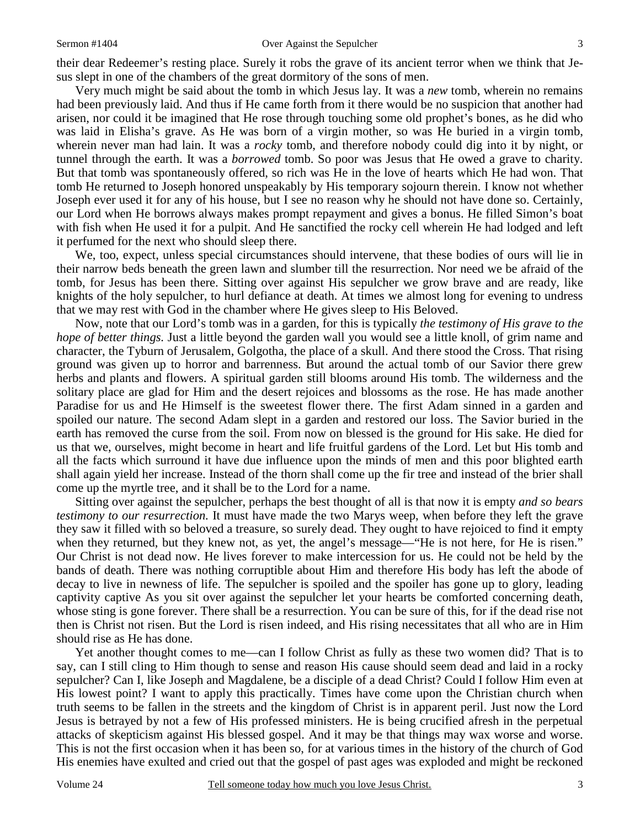their dear Redeemer's resting place. Surely it robs the grave of its ancient terror when we think that Jesus slept in one of the chambers of the great dormitory of the sons of men.

Very much might be said about the tomb in which Jesus lay. It was a *new* tomb, wherein no remains had been previously laid. And thus if He came forth from it there would be no suspicion that another had arisen, nor could it be imagined that He rose through touching some old prophet's bones, as he did who was laid in Elisha's grave. As He was born of a virgin mother, so was He buried in a virgin tomb, wherein never man had lain. It was a *rocky* tomb, and therefore nobody could dig into it by night, or tunnel through the earth. It was a *borrowed* tomb. So poor was Jesus that He owed a grave to charity. But that tomb was spontaneously offered, so rich was He in the love of hearts which He had won. That tomb He returned to Joseph honored unspeakably by His temporary sojourn therein. I know not whether Joseph ever used it for any of his house, but I see no reason why he should not have done so. Certainly, our Lord when He borrows always makes prompt repayment and gives a bonus. He filled Simon's boat with fish when He used it for a pulpit. And He sanctified the rocky cell wherein He had lodged and left it perfumed for the next who should sleep there.

We, too, expect, unless special circumstances should intervene, that these bodies of ours will lie in their narrow beds beneath the green lawn and slumber till the resurrection. Nor need we be afraid of the tomb, for Jesus has been there. Sitting over against His sepulcher we grow brave and are ready, like knights of the holy sepulcher, to hurl defiance at death. At times we almost long for evening to undress that we may rest with God in the chamber where He gives sleep to His Beloved.

Now, note that our Lord's tomb was in a garden, for this is typically *the testimony of His grave to the hope of better things.* Just a little beyond the garden wall you would see a little knoll, of grim name and character, the Tyburn of Jerusalem, Golgotha, the place of a skull. And there stood the Cross. That rising ground was given up to horror and barrenness. But around the actual tomb of our Savior there grew herbs and plants and flowers. A spiritual garden still blooms around His tomb. The wilderness and the solitary place are glad for Him and the desert rejoices and blossoms as the rose. He has made another Paradise for us and He Himself is the sweetest flower there. The first Adam sinned in a garden and spoiled our nature. The second Adam slept in a garden and restored our loss. The Savior buried in the earth has removed the curse from the soil. From now on blessed is the ground for His sake. He died for us that we, ourselves, might become in heart and life fruitful gardens of the Lord. Let but His tomb and all the facts which surround it have due influence upon the minds of men and this poor blighted earth shall again yield her increase. Instead of the thorn shall come up the fir tree and instead of the brier shall come up the myrtle tree, and it shall be to the Lord for a name.

Sitting over against the sepulcher, perhaps the best thought of all is that now it is empty *and so bears testimony to our resurrection.* It must have made the two Marys weep, when before they left the grave they saw it filled with so beloved a treasure, so surely dead. They ought to have rejoiced to find it empty when they returned, but they knew not, as yet, the angel's message—"He is not here, for He is risen." Our Christ is not dead now. He lives forever to make intercession for us. He could not be held by the bands of death. There was nothing corruptible about Him and therefore His body has left the abode of decay to live in newness of life. The sepulcher is spoiled and the spoiler has gone up to glory, leading captivity captive As you sit over against the sepulcher let your hearts be comforted concerning death, whose sting is gone forever. There shall be a resurrection. You can be sure of this, for if the dead rise not then is Christ not risen. But the Lord is risen indeed, and His rising necessitates that all who are in Him should rise as He has done.

Yet another thought comes to me—can I follow Christ as fully as these two women did? That is to say, can I still cling to Him though to sense and reason His cause should seem dead and laid in a rocky sepulcher? Can I, like Joseph and Magdalene, be a disciple of a dead Christ? Could I follow Him even at His lowest point? I want to apply this practically. Times have come upon the Christian church when truth seems to be fallen in the streets and the kingdom of Christ is in apparent peril. Just now the Lord Jesus is betrayed by not a few of His professed ministers. He is being crucified afresh in the perpetual attacks of skepticism against His blessed gospel. And it may be that things may wax worse and worse. This is not the first occasion when it has been so, for at various times in the history of the church of God His enemies have exulted and cried out that the gospel of past ages was exploded and might be reckoned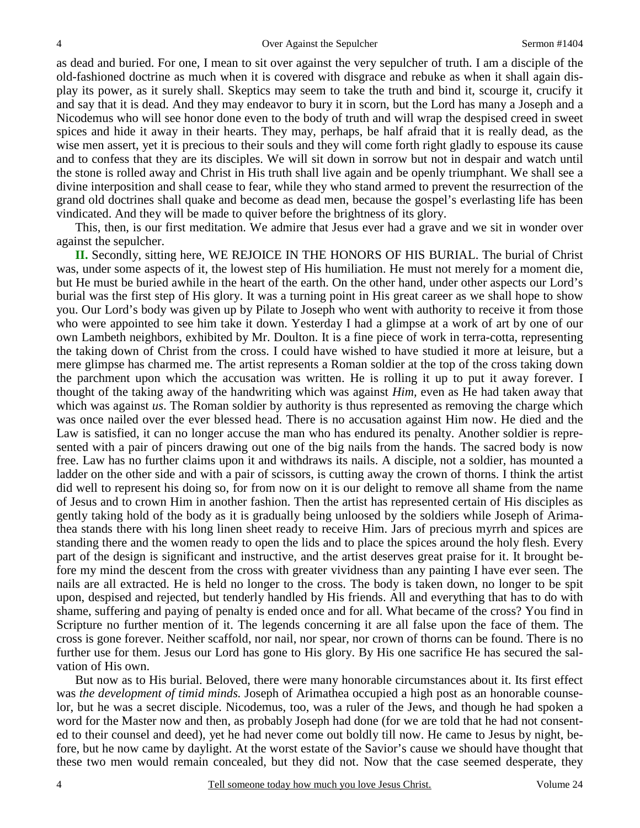as dead and buried. For one, I mean to sit over against the very sepulcher of truth. I am a disciple of the old-fashioned doctrine as much when it is covered with disgrace and rebuke as when it shall again display its power, as it surely shall. Skeptics may seem to take the truth and bind it, scourge it, crucify it and say that it is dead. And they may endeavor to bury it in scorn, but the Lord has many a Joseph and a Nicodemus who will see honor done even to the body of truth and will wrap the despised creed in sweet spices and hide it away in their hearts. They may, perhaps, be half afraid that it is really dead, as the wise men assert, yet it is precious to their souls and they will come forth right gladly to espouse its cause and to confess that they are its disciples. We will sit down in sorrow but not in despair and watch until the stone is rolled away and Christ in His truth shall live again and be openly triumphant. We shall see a divine interposition and shall cease to fear, while they who stand armed to prevent the resurrection of the grand old doctrines shall quake and become as dead men, because the gospel's everlasting life has been vindicated. And they will be made to quiver before the brightness of its glory.

This, then, is our first meditation. We admire that Jesus ever had a grave and we sit in wonder over against the sepulcher.

**II.** Secondly, sitting here, WE REJOICE IN THE HONORS OF HIS BURIAL. The burial of Christ was, under some aspects of it, the lowest step of His humiliation. He must not merely for a moment die, but He must be buried awhile in the heart of the earth. On the other hand, under other aspects our Lord's burial was the first step of His glory. It was a turning point in His great career as we shall hope to show you. Our Lord's body was given up by Pilate to Joseph who went with authority to receive it from those who were appointed to see him take it down. Yesterday I had a glimpse at a work of art by one of our own Lambeth neighbors, exhibited by Mr. Doulton. It is a fine piece of work in terra-cotta, representing the taking down of Christ from the cross. I could have wished to have studied it more at leisure, but a mere glimpse has charmed me. The artist represents a Roman soldier at the top of the cross taking down the parchment upon which the accusation was written. He is rolling it up to put it away forever. I thought of the taking away of the handwriting which was against *Him,* even as He had taken away that which was against *us*. The Roman soldier by authority is thus represented as removing the charge which was once nailed over the ever blessed head. There is no accusation against Him now. He died and the Law is satisfied, it can no longer accuse the man who has endured its penalty. Another soldier is represented with a pair of pincers drawing out one of the big nails from the hands. The sacred body is now free. Law has no further claims upon it and withdraws its nails. A disciple, not a soldier, has mounted a ladder on the other side and with a pair of scissors, is cutting away the crown of thorns. I think the artist did well to represent his doing so, for from now on it is our delight to remove all shame from the name of Jesus and to crown Him in another fashion. Then the artist has represented certain of His disciples as gently taking hold of the body as it is gradually being unloosed by the soldiers while Joseph of Arimathea stands there with his long linen sheet ready to receive Him. Jars of precious myrrh and spices are standing there and the women ready to open the lids and to place the spices around the holy flesh. Every part of the design is significant and instructive, and the artist deserves great praise for it. It brought before my mind the descent from the cross with greater vividness than any painting I have ever seen. The nails are all extracted. He is held no longer to the cross. The body is taken down, no longer to be spit upon, despised and rejected, but tenderly handled by His friends. All and everything that has to do with shame, suffering and paying of penalty is ended once and for all. What became of the cross? You find in Scripture no further mention of it. The legends concerning it are all false upon the face of them. The cross is gone forever. Neither scaffold, nor nail, nor spear, nor crown of thorns can be found. There is no further use for them. Jesus our Lord has gone to His glory. By His one sacrifice He has secured the salvation of His own.

But now as to His burial. Beloved, there were many honorable circumstances about it. Its first effect was *the development of timid minds.* Joseph of Arimathea occupied a high post as an honorable counselor, but he was a secret disciple. Nicodemus, too, was a ruler of the Jews, and though he had spoken a word for the Master now and then, as probably Joseph had done (for we are told that he had not consented to their counsel and deed), yet he had never come out boldly till now. He came to Jesus by night, before, but he now came by daylight. At the worst estate of the Savior's cause we should have thought that these two men would remain concealed, but they did not. Now that the case seemed desperate, they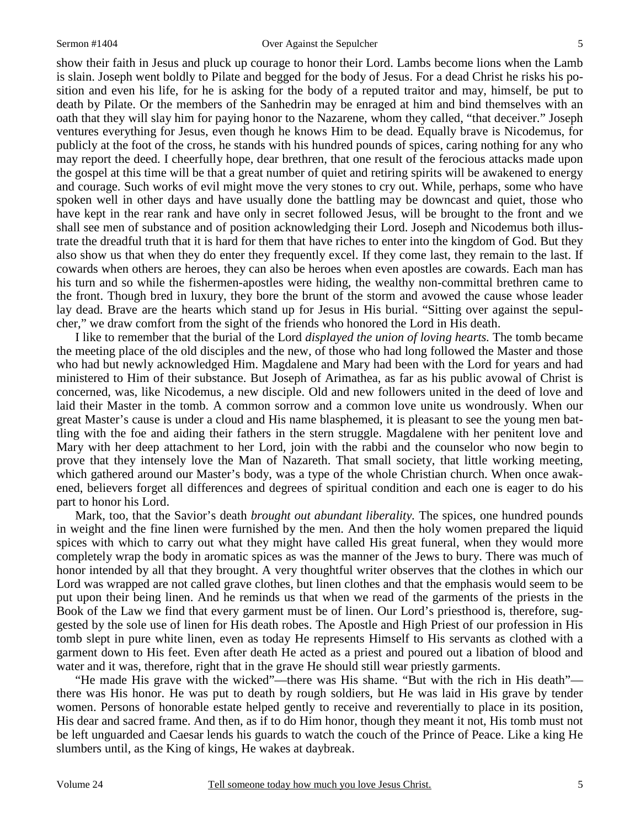show their faith in Jesus and pluck up courage to honor their Lord. Lambs become lions when the Lamb is slain. Joseph went boldly to Pilate and begged for the body of Jesus. For a dead Christ he risks his position and even his life, for he is asking for the body of a reputed traitor and may, himself, be put to death by Pilate. Or the members of the Sanhedrin may be enraged at him and bind themselves with an oath that they will slay him for paying honor to the Nazarene, whom they called, "that deceiver." Joseph ventures everything for Jesus, even though he knows Him to be dead. Equally brave is Nicodemus, for publicly at the foot of the cross, he stands with his hundred pounds of spices, caring nothing for any who may report the deed. I cheerfully hope, dear brethren, that one result of the ferocious attacks made upon the gospel at this time will be that a great number of quiet and retiring spirits will be awakened to energy and courage. Such works of evil might move the very stones to cry out. While, perhaps, some who have spoken well in other days and have usually done the battling may be downcast and quiet, those who have kept in the rear rank and have only in secret followed Jesus, will be brought to the front and we shall see men of substance and of position acknowledging their Lord. Joseph and Nicodemus both illustrate the dreadful truth that it is hard for them that have riches to enter into the kingdom of God. But they also show us that when they do enter they frequently excel. If they come last, they remain to the last. If cowards when others are heroes, they can also be heroes when even apostles are cowards. Each man has his turn and so while the fishermen-apostles were hiding, the wealthy non-committal brethren came to the front. Though bred in luxury, they bore the brunt of the storm and avowed the cause whose leader lay dead. Brave are the hearts which stand up for Jesus in His burial. "Sitting over against the sepulcher," we draw comfort from the sight of the friends who honored the Lord in His death.

I like to remember that the burial of the Lord *displayed the union of loving hearts.* The tomb became the meeting place of the old disciples and the new, of those who had long followed the Master and those who had but newly acknowledged Him. Magdalene and Mary had been with the Lord for years and had ministered to Him of their substance. But Joseph of Arimathea, as far as his public avowal of Christ is concerned, was, like Nicodemus, a new disciple. Old and new followers united in the deed of love and laid their Master in the tomb. A common sorrow and a common love unite us wondrously. When our great Master's cause is under a cloud and His name blasphemed, it is pleasant to see the young men battling with the foe and aiding their fathers in the stern struggle. Magdalene with her penitent love and Mary with her deep attachment to her Lord, join with the rabbi and the counselor who now begin to prove that they intensely love the Man of Nazareth. That small society, that little working meeting, which gathered around our Master's body, was a type of the whole Christian church. When once awakened, believers forget all differences and degrees of spiritual condition and each one is eager to do his part to honor his Lord.

Mark, too, that the Savior's death *brought out abundant liberality.* The spices, one hundred pounds in weight and the fine linen were furnished by the men. And then the holy women prepared the liquid spices with which to carry out what they might have called His great funeral, when they would more completely wrap the body in aromatic spices as was the manner of the Jews to bury. There was much of honor intended by all that they brought. A very thoughtful writer observes that the clothes in which our Lord was wrapped are not called grave clothes, but linen clothes and that the emphasis would seem to be put upon their being linen. And he reminds us that when we read of the garments of the priests in the Book of the Law we find that every garment must be of linen. Our Lord's priesthood is, therefore, suggested by the sole use of linen for His death robes. The Apostle and High Priest of our profession in His tomb slept in pure white linen, even as today He represents Himself to His servants as clothed with a garment down to His feet. Even after death He acted as a priest and poured out a libation of blood and water and it was, therefore, right that in the grave He should still wear priestly garments.

"He made His grave with the wicked"—there was His shame. "But with the rich in His death" there was His honor. He was put to death by rough soldiers, but He was laid in His grave by tender women. Persons of honorable estate helped gently to receive and reverentially to place in its position, His dear and sacred frame. And then, as if to do Him honor, though they meant it not, His tomb must not be left unguarded and Caesar lends his guards to watch the couch of the Prince of Peace. Like a king He slumbers until, as the King of kings, He wakes at daybreak.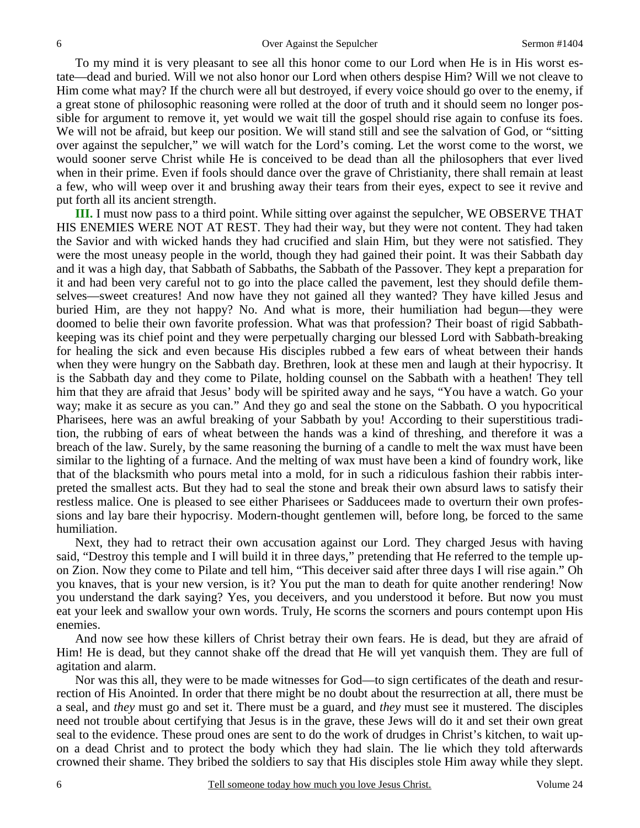To my mind it is very pleasant to see all this honor come to our Lord when He is in His worst estate—dead and buried. Will we not also honor our Lord when others despise Him? Will we not cleave to Him come what may? If the church were all but destroyed, if every voice should go over to the enemy, if a great stone of philosophic reasoning were rolled at the door of truth and it should seem no longer possible for argument to remove it, yet would we wait till the gospel should rise again to confuse its foes. We will not be afraid, but keep our position. We will stand still and see the salvation of God, or "sitting over against the sepulcher," we will watch for the Lord's coming. Let the worst come to the worst, we would sooner serve Christ while He is conceived to be dead than all the philosophers that ever lived when in their prime. Even if fools should dance over the grave of Christianity, there shall remain at least a few, who will weep over it and brushing away their tears from their eyes, expect to see it revive and put forth all its ancient strength.

**III.** I must now pass to a third point. While sitting over against the sepulcher, WE OBSERVE THAT HIS ENEMIES WERE NOT AT REST. They had their way, but they were not content. They had taken the Savior and with wicked hands they had crucified and slain Him, but they were not satisfied. They were the most uneasy people in the world, though they had gained their point. It was their Sabbath day and it was a high day, that Sabbath of Sabbaths, the Sabbath of the Passover. They kept a preparation for it and had been very careful not to go into the place called the pavement, lest they should defile themselves—sweet creatures! And now have they not gained all they wanted? They have killed Jesus and buried Him, are they not happy? No. And what is more, their humiliation had begun—they were doomed to belie their own favorite profession. What was that profession? Their boast of rigid Sabbathkeeping was its chief point and they were perpetually charging our blessed Lord with Sabbath-breaking for healing the sick and even because His disciples rubbed a few ears of wheat between their hands when they were hungry on the Sabbath day. Brethren, look at these men and laugh at their hypocrisy. It is the Sabbath day and they come to Pilate, holding counsel on the Sabbath with a heathen! They tell him that they are afraid that Jesus' body will be spirited away and he says, "You have a watch. Go your way; make it as secure as you can." And they go and seal the stone on the Sabbath. O you hypocritical Pharisees, here was an awful breaking of your Sabbath by you! According to their superstitious tradition, the rubbing of ears of wheat between the hands was a kind of threshing, and therefore it was a breach of the law. Surely, by the same reasoning the burning of a candle to melt the wax must have been similar to the lighting of a furnace. And the melting of wax must have been a kind of foundry work, like that of the blacksmith who pours metal into a mold, for in such a ridiculous fashion their rabbis interpreted the smallest acts. But they had to seal the stone and break their own absurd laws to satisfy their restless malice. One is pleased to see either Pharisees or Sadducees made to overturn their own professions and lay bare their hypocrisy. Modern-thought gentlemen will, before long, be forced to the same humiliation.

Next, they had to retract their own accusation against our Lord. They charged Jesus with having said, "Destroy this temple and I will build it in three days," pretending that He referred to the temple upon Zion. Now they come to Pilate and tell him, "This deceiver said after three days I will rise again." Oh you knaves, that is your new version, is it? You put the man to death for quite another rendering! Now you understand the dark saying? Yes, you deceivers, and you understood it before. But now you must eat your leek and swallow your own words. Truly, He scorns the scorners and pours contempt upon His enemies.

And now see how these killers of Christ betray their own fears. He is dead, but they are afraid of Him! He is dead, but they cannot shake off the dread that He will yet vanquish them. They are full of agitation and alarm.

Nor was this all, they were to be made witnesses for God—to sign certificates of the death and resurrection of His Anointed. In order that there might be no doubt about the resurrection at all, there must be a seal, and *they* must go and set it. There must be a guard, and *they* must see it mustered. The disciples need not trouble about certifying that Jesus is in the grave, these Jews will do it and set their own great seal to the evidence. These proud ones are sent to do the work of drudges in Christ's kitchen, to wait upon a dead Christ and to protect the body which they had slain. The lie which they told afterwards crowned their shame. They bribed the soldiers to say that His disciples stole Him away while they slept.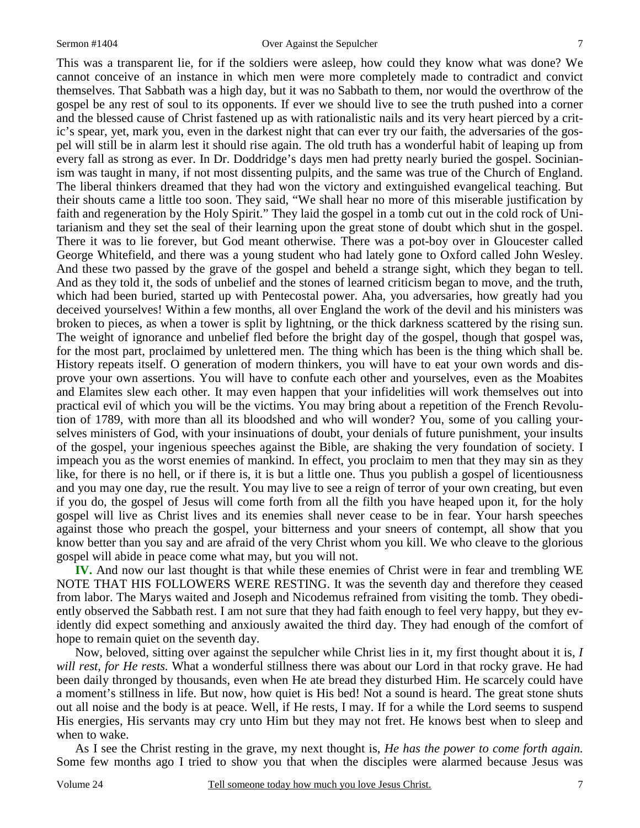This was a transparent lie, for if the soldiers were asleep, how could they know what was done? We cannot conceive of an instance in which men were more completely made to contradict and convict themselves. That Sabbath was a high day, but it was no Sabbath to them, nor would the overthrow of the gospel be any rest of soul to its opponents. If ever we should live to see the truth pushed into a corner and the blessed cause of Christ fastened up as with rationalistic nails and its very heart pierced by a critic's spear, yet, mark you, even in the darkest night that can ever try our faith, the adversaries of the gospel will still be in alarm lest it should rise again. The old truth has a wonderful habit of leaping up from every fall as strong as ever. In Dr. Doddridge's days men had pretty nearly buried the gospel. Socinianism was taught in many, if not most dissenting pulpits, and the same was true of the Church of England. The liberal thinkers dreamed that they had won the victory and extinguished evangelical teaching. But their shouts came a little too soon. They said, "We shall hear no more of this miserable justification by faith and regeneration by the Holy Spirit." They laid the gospel in a tomb cut out in the cold rock of Unitarianism and they set the seal of their learning upon the great stone of doubt which shut in the gospel. There it was to lie forever, but God meant otherwise. There was a pot-boy over in Gloucester called George Whitefield, and there was a young student who had lately gone to Oxford called John Wesley. And these two passed by the grave of the gospel and beheld a strange sight, which they began to tell. And as they told it, the sods of unbelief and the stones of learned criticism began to move, and the truth, which had been buried, started up with Pentecostal power. Aha, you adversaries, how greatly had you deceived yourselves! Within a few months, all over England the work of the devil and his ministers was broken to pieces, as when a tower is split by lightning, or the thick darkness scattered by the rising sun. The weight of ignorance and unbelief fled before the bright day of the gospel, though that gospel was, for the most part, proclaimed by unlettered men. The thing which has been is the thing which shall be. History repeats itself. O generation of modern thinkers, you will have to eat your own words and disprove your own assertions. You will have to confute each other and yourselves, even as the Moabites and Elamites slew each other. It may even happen that your infidelities will work themselves out into practical evil of which you will be the victims. You may bring about a repetition of the French Revolution of 1789, with more than all its bloodshed and who will wonder? You, some of you calling yourselves ministers of God, with your insinuations of doubt, your denials of future punishment, your insults of the gospel, your ingenious speeches against the Bible, are shaking the very foundation of society. I impeach you as the worst enemies of mankind. In effect, you proclaim to men that they may sin as they like, for there is no hell, or if there is, it is but a little one. Thus you publish a gospel of licentiousness and you may one day, rue the result. You may live to see a reign of terror of your own creating, but even if you do, the gospel of Jesus will come forth from all the filth you have heaped upon it, for the holy gospel will live as Christ lives and its enemies shall never cease to be in fear. Your harsh speeches against those who preach the gospel, your bitterness and your sneers of contempt, all show that you know better than you say and are afraid of the very Christ whom you kill. We who cleave to the glorious gospel will abide in peace come what may, but you will not.

**IV.** And now our last thought is that while these enemies of Christ were in fear and trembling WE NOTE THAT HIS FOLLOWERS WERE RESTING. It was the seventh day and therefore they ceased from labor. The Marys waited and Joseph and Nicodemus refrained from visiting the tomb. They obediently observed the Sabbath rest. I am not sure that they had faith enough to feel very happy, but they evidently did expect something and anxiously awaited the third day. They had enough of the comfort of hope to remain quiet on the seventh day.

Now, beloved, sitting over against the sepulcher while Christ lies in it, my first thought about it is, *I will rest, for He rests.* What a wonderful stillness there was about our Lord in that rocky grave. He had been daily thronged by thousands, even when He ate bread they disturbed Him. He scarcely could have a moment's stillness in life. But now, how quiet is His bed! Not a sound is heard. The great stone shuts out all noise and the body is at peace. Well, if He rests, I may. If for a while the Lord seems to suspend His energies, His servants may cry unto Him but they may not fret. He knows best when to sleep and when to wake.

As I see the Christ resting in the grave, my next thought is, *He has the power to come forth again.* Some few months ago I tried to show you that when the disciples were alarmed because Jesus was